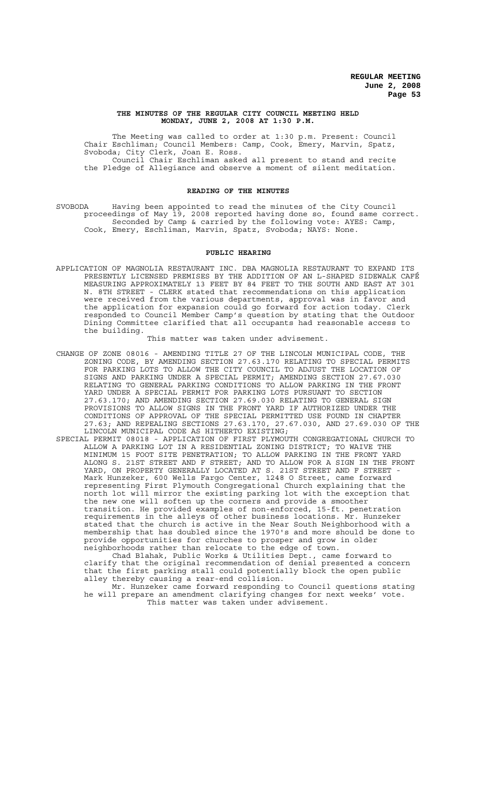#### **THE MINUTES OF THE REGULAR CITY COUNCIL MEETING HELD MONDAY, JUNE 2, 2008 AT 1:30 P.M.**

The Meeting was called to order at 1:30 p.m. Present: Council Chair Eschliman; Council Members: Camp, Cook, Emery, Marvin, Spatz, Svoboda; City Clerk, Joan E. Ross. Council Chair Eschliman asked all present to stand and recite the Pledge of Allegiance and observe a moment of silent meditation.

#### **READING OF THE MINUTES**

SVOBODA Having been appointed to read the minutes of the City Council proceedings of May 19, 2008 reported having done so, found same correct. Seconded by Camp & carried by the following vote: AYES: Camp, Cook, Emery, Eschliman, Marvin, Spatz, Svoboda; NAYS: None.

#### **PUBLIC HEARING**

APPLICATION OF MAGNOLIA RESTAURANT INC. DBA MAGNOLIA RESTAURANT TO EXPAND ITS PRESENTLY LICENSED PREMISES BY THE ADDITION OF AN L-SHAPED SIDEWALK CAFÉ MEASURING APPROXIMATELY 13 FEET BY 84 FEET TO THE SOUTH AND EAST AT 301 N. 8TH STREET - CLERK stated that recommendations on this application were received from the various departments, approval was in favor and the application for expansion could go forward for action today. Clerk responded to Council Member Camp's question by stating that the Outdoor Dining Committee clarified that all occupants had reasonable access to the building.

This matter was taken under advisement.

- CHANGE OF ZONE 08016 AMENDING TITLE 27 OF THE LINCOLN MUNICIPAL CODE, THE ZONING CODE, BY AMENDING SECTION 27.63.170 RELATING TO SPECIAL PERMITS FOR PARKING LOTS TO ALLOW THE CITY COUNCIL TO ADJUST THE LOCATION OF SIGNS AND PARKING UNDER A SPECIAL PERMIT; AMENDING SECTION 27.67.030 RELATING TO GENERAL PARKING CONDITIONS TO ALLOW PARKING IN THE FRONT YARD UNDER A SPECIAL PERMIT FOR PARKING LOTS PURSUANT TO SECTION 27.63.170; AND AMENDING SECTION 27.69.030 RELATING TO GENERAL SIGN PROVISIONS TO ALLOW SIGNS IN THE FRONT YARD IF AUTHORIZED UNDER THE CONDITIONS OF APPROVAL OF THE SPECIAL PERMITTED USE FOUND IN CHAPTER 27.63; AND REPEALING SECTIONS 27.63.170, 27.67.030, AND 27.69.030 OF THE LINCOLN MUNICIPAL CODE AS HITHERTO EXISTING;
- SPECIAL PERMIT 08018 APPLICATION OF FIRST PLYMOUTH CONGREGATIONAL CHURCH TO ALLOW A PARKING LOT IN A RESIDENTIAL ZONING DISTRICT; TO WAIVE THE MINIMUM 15 FOOT SITE PENETRATION; TO ALLOW PARKING IN THE FRONT YARD ALONG S. 21ST STREET AND F STREET; AND TO ALLOW FOR A SIGN IN THE FRONT YARD, ON PROPERTY GENERALLY LOCATED AT S. 21ST STREET AND F STREET -Mark Hunzeker, 600 Wells Fargo Center, 1248 O Street, came forward representing First Plymouth Congregational Church explaining that the north lot will mirror the existing parking lot with the exception that the new one will soften up the corners and provide a smoother transition. He provided examples of non-enforced, 15-ft. penetration requirements in the alleys of other business locations. Mr. Hunzeker stated that the church is active in the Near South Neighborhood with a membership that has doubled since the 1970's and more should be done to provide opportunities for churches to prosper and grow in older neighborhoods rather than relocate to the edge of town.

Chad Blahak, Public Works & Utilities Dept., came forward to clarify that the original recommendation of denial presented a concern that the first parking stall could potentially block the open public alley thereby causing a rear-end collision.

Mr. Hunzeker came forward responding to Council questions stating he will prepare an amendment clarifying changes for next weeks' vote. This matter was taken under advisement.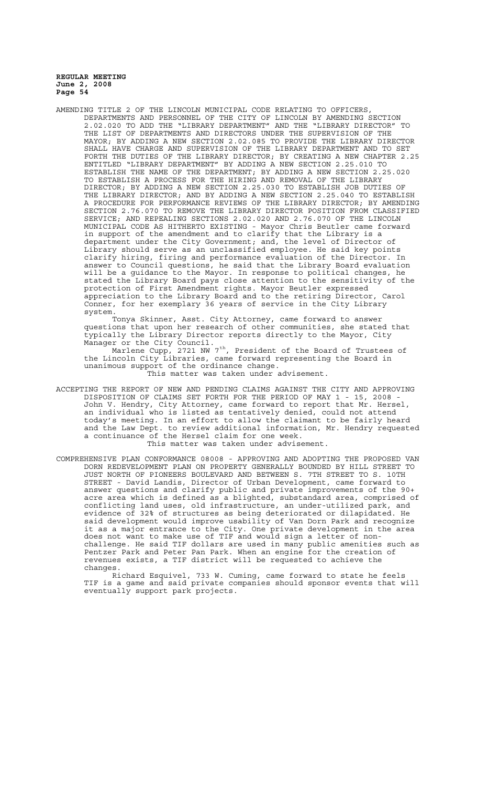AMENDING TITLE 2 OF THE LINCOLN MUNICIPAL CODE RELATING TO OFFICERS, DEPARTMENTS AND PERSONNEL OF THE CITY OF LINCOLN BY AMENDING SECTION 2.02.020 TO ADD THE "LIBRARY DEPARTMENT" AND THE "LIBRARY DIRECTOR" TO THE LIST OF DEPARTMENTS AND DIRECTORS UNDER THE SUPERVISION OF THE MAYOR; BY ADDING A NEW SECTION 2.02.085 TO PROVIDE THE LIBRARY DIRECTOR SHALL HAVE CHARGE AND SUPERVISION OF THE LIBRARY DEPARTMENT AND TO SET FORTH THE DUTIES OF THE LIBRARY DIRECTOR; BY CREATING A NEW CHAPTER 2.25 ENTITLED "LIBRARY DEPARTMENT" BY ADDING A NEW SECTION 2.25.010 TO ESTABLISH THE NAME OF THE DEPARTMENT; BY ADDING A NEW SECTION 2.25.020 TO ESTABLISH A PROCESS FOR THE HIRING AND REMOVAL OF THE LIBRARY DIRECTOR; BY ADDING A NEW SECTION 2.25.030 TO ESTABLISH JOB DUTIES OF THE LIBRARY DIRECTOR; AND BY ADDING A NEW SECTION 2.25.040 TO ESTABLISH A PROCEDURE FOR PERFORMANCE REVIEWS OF THE LIBRARY DIRECTOR; BY AMENDING SECTION 2.76.070 TO REMOVE THE LIBRARY DIRECTOR POSITION FROM CLASSIFIED SERVICE; AND REPEALING SECTIONS 2.02.020 AND 2.76.070 OF THE LINCOLN MUNICIPAL CODE AS HITHERTO EXISTING - Mayor Chris Beutler came forward in support of the amendment and to clarify that the Library is a department under the City Government; and, the level of Director of Library should serve as an unclassified employee. He said key points clarify hiring, firing and performance evaluation of the Director. In answer to Council questions, he said that the Library Board evaluation will be a guidance to the Mayor. In response to political changes, he stated the Library Board pays close attention to the sensitivity of the protection of First Amendment rights. Mayor Beutler expressed appreciation to the Library Board and to the retiring Director, Carol Conner, for her exemplary 36 years of service in the City Library system.

Tonya Skinner, Asst. City Attorney, came forward to answer questions that upon her research of other communities, she stated that typically the Library Director reports directly to the Mayor, City Manager or the City Council.

Marlene Cupp, 2721 NW 7<sup>th</sup>, President of the Board of Trustees of the Lincoln City Libraries, came forward representing the Board in unanimous support of the ordinance change.

This matter was taken under advisement.

- ACCEPTING THE REPORT OF NEW AND PENDING CLAIMS AGAINST THE CITY AND APPROVING DISPOSITION OF CLAIMS SET FORTH FOR THE PERIOD OF MAY 1 - 15, 2008 John V. Hendry, City Attorney, came forward to report that Mr. Hersel, an individual who is listed as tentatively denied, could not attend today's meeting. In an effort to allow the claimant to be fairly heard and the Law Dept. to review additional information, Mr. Hendry requested a continuance of the Hersel claim for one week. This matter was taken under advisement.
- COMPREHENSIVE PLAN CONFORMANCE 08008 APPROVING AND ADOPTING THE PROPOSED VAN DORN REDEVELOPMENT PLAN ON PROPERTY GENERALLY BOUNDED BY HILL STREET TO JUST NORTH OF PIONEERS BOULEVARD AND BETWEEN S. 7TH STREET TO S. 10TH STREET - David Landis, Director of Urban Development, came forward to answer questions and clarify public and private improvements of the 90+ acre area which is defined as a blighted, substandard area, comprised of conflicting land uses, old infrastructure, an under-utilized park, and evidence of 32% of structures as being deteriorated or dilapidated. He said development would improve usability of Van Dorn Park and recognize it as a major entrance to the City. One private development in the area does not want to make use of TIF and would sign a letter of nonchallenge. He said TIF dollars are used in many public amenities such as Pentzer Park and Peter Pan Park. When an engine for the creation of revenues exists, a TIF district will be requested to achieve the changes.

Richard Esquivel, 733 W. Cuming, came forward to state he feels TIF is a game and said private companies should sponsor events that will eventually support park projects.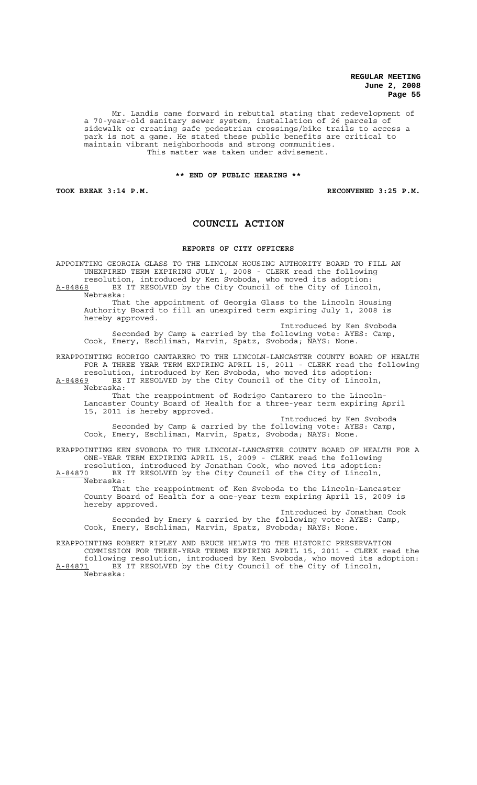Mr. Landis came forward in rebuttal stating that redevelopment of a 70-year-old sanitary sewer system, installation of 26 parcels of sidewalk or creating safe pedestrian crossings/bike trails to access a park is not a game. He stated these public benefits are critical to maintain vibrant neighborhoods and strong communities. This matter was taken under advisement.

#### **\*\* END OF PUBLIC HEARING \*\***

**TOOK BREAK 3:14 P.M. RECONVENED 3:25 P.M.**

## **COUNCIL ACTION**

#### **REPORTS OF CITY OFFICERS**

APPOINTING GEORGIA GLASS TO THE LINCOLN HOUSING AUTHORITY BOARD TO FILL AN UNEXPIRED TERM EXPIRING JULY 1, 2008 - CLERK read the following resolution, introduced by Ken Svoboda, who moved its adoption:

A-84868 BE IT RESOLVED by the City Council of the City of Lincoln, Nebraska:

That the appointment of Georgia Glass to the Lincoln Housing Authority Board to fill an unexpired term expiring July 1, 2008 is hereby approved.

Introduced by Ken Svoboda Seconded by Camp & carried by the following vote: AYES: Camp, Cook, Emery, Eschliman, Marvin, Spatz, Svoboda; NAYS: None.

REAPPOINTING RODRIGO CANTARERO TO THE LINCOLN-LANCASTER COUNTY BOARD OF HEALTH FOR A THREE YEAR TERM EXPIRING APRIL 15, 2011 - CLERK read the following resolution, introduced by Ken Svoboda, who moved its adoption:

A-84869 BE IT RESOLVED by the City Council of the City of Lincoln, Nebraska: That the reappointment of Rodrigo Cantarero to the Lincoln-

Lancaster County Board of Health for a three-year term expiring April 15, 2011 is hereby approved.

Introduced by Ken Svoboda Seconded by Camp & carried by the following vote: AYES: Camp, Cook, Emery, Eschliman, Marvin, Spatz, Svoboda; NAYS: None.

REAPPOINTING KEN SVOBODA TO THE LINCOLN-LANCASTER COUNTY BOARD OF HEALTH FOR A ONE-YEAR TERM EXPIRING APRIL 15, 2009 - CLERK read the following resolution, introduced by Jonathan Cook, who moved its adoption: A-84870 BE IT RESOLVED by the City Council of the City of Lincoln,

Nebraska:

That the reappointment of Ken Svoboda to the Lincoln-Lancaster County Board of Health for a one-year term expiring April 15, 2009 is hereby approved.

Introduced by Jonathan Cook Seconded by Emery & carried by the following vote: AYES: Camp, Cook, Emery, Eschliman, Marvin, Spatz, Svoboda; NAYS: None.

REAPPOINTING ROBERT RIPLEY AND BRUCE HELWIG TO THE HISTORIC PRESERVATION COMMISSION FOR THREE-YEAR TERMS EXPIRING APRIL 15, 2011 - CLERK read the following resolution, introduced by Ken Svoboda, who moved its adoption: A-84871 BE IT RESOLVED by the City Council of the City of Lincoln, Nebraska: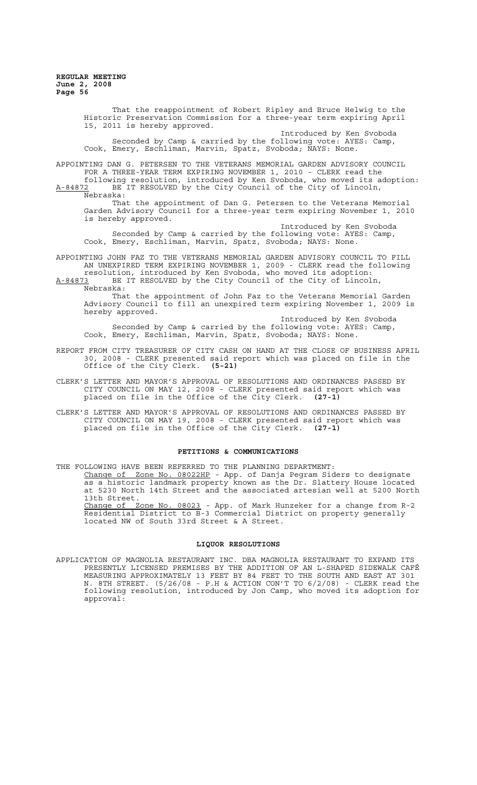Historic Preservation Commission for a three-year term expiring April 15, 2011 is hereby approved. Introduced by Ken Svoboda Seconded by Camp & carried by the following vote: AYES: Camp, Cook, Emery, Eschliman, Marvin, Spatz, Svoboda; NAYS: None. APPOINTING DAN G. PETERSEN TO THE VETERANS MEMORIAL GARDEN ADVISORY COUNCIL FOR A THREE-YEAR TERM EXPIRING NOVEMBER 1, 2010 - CLERK read the following resolution, introduced by Ken Svoboda, who moved its adoption: A-84872 BE IT RESOLVED by the City Council of the City of Lincoln,  $\frac{A-84872}{Nehraska}$ . That the appointment of Dan G. Petersen to the Veterans Memorial Garden Advisory Council for a three-year term expiring November 1, 2010 is hereby approved. Introduced by Ken Svoboda Seconded by Camp & carried by the following vote: AYES: Camp, Cook, Emery, Eschliman, Marvin, Spatz, Svoboda; NAYS: None. APPOINTING JOHN FAZ TO THE VETERANS MEMORIAL GARDEN ADVISORY COUNCIL TO FILL AN UNEXPIRED TERM EXPIRING NOVEMBER 1, 2009 - CLERK read the following resolution, introduced by Ken Svoboda, who moved its adoption: A-84873 BE IT RESOLVED by the City Council of the City of Lincoln, Nebraska: That the appointment of John Faz to the Veterans Memorial Garden Advisory Council to fill an unexpired term expiring November 1, 2009 is hereby approved. Introduced by Ken Svoboda Seconded by Camp & carried by the following vote: AYES: Camp, Cook, Emery, Eschliman, Marvin, Spatz, Svoboda; NAYS: None.

That the reappointment of Robert Ripley and Bruce Helwig to the

- REPORT FROM CITY TREASURER OF CITY CASH ON HAND AT THE CLOSE OF BUSINESS APRIL 30, 2008 - CLERK presented said report which was placed on file in the Office of the City Clerk. **(5-21)**
- CLERK'S LETTER AND MAYOR'S APPROVAL OF RESOLUTIONS AND ORDINANCES PASSED BY CITY COUNCIL ON MAY 12, 2008 - CLERK presented said report which was<br>placed on file in the Office of the City Clerk. (27-1) placed on file in the Office of the City Clerk.
- CLERK'S LETTER AND MAYOR'S APPROVAL OF RESOLUTIONS AND ORDINANCES PASSED BY CITY COUNCIL ON MAY 19, 2008 - CLERK presented said report which was placed on file in the Office of the City Clerk. **(27-1)**

#### **PETITIONS & COMMUNICATIONS**

THE FOLLOWING HAVE BEEN REFERRED TO THE PLANNING DEPARTMENT: Change of Zone No. 08022HP - App. of Danja Pegram Siders to designate as a historic landmark property known as the Dr. Slattery House located at 5230 North 14th Street and the associated artesian well at 5200 North 13th Street. Change of Zone No. 08023 - App. of Mark Hunzeker for a change from R-2 Residential District to B-3 Commercial District on property generally located NW of South 33rd Street & A Street.

## **LIQUOR RESOLUTIONS**

APPLICATION OF MAGNOLIA RESTAURANT INC. DBA MAGNOLIA RESTAURANT TO EXPAND ITS PRESENTLY LICENSED PREMISES BY THE ADDITION OF AN L-SHAPED SIDEWALK CAFÉ MEASURING APPROXIMATELY 13 FEET BY 84 FEET TO THE SOUTH AND EAST AT 301 N. 8TH STREET. (5/26/08 - P.H & ACTION CON'T TO 6/2/08) - CLERK read the following resolution, introduced by Jon Camp, who moved its adoption for approval: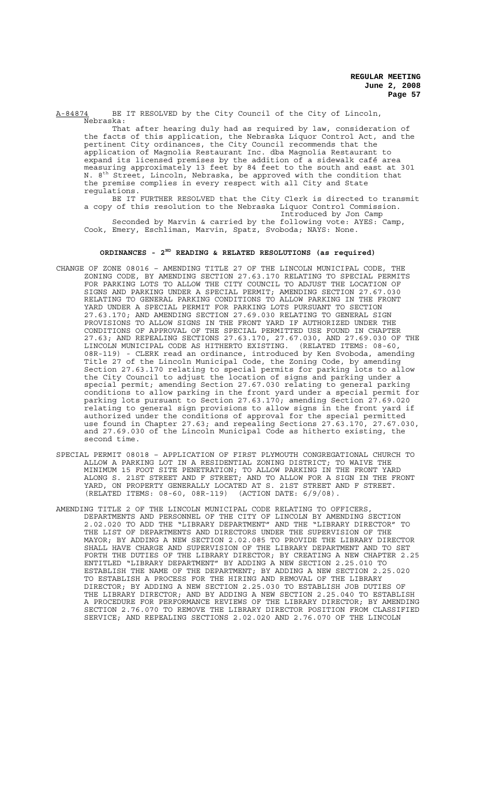A-84874 BE IT RESOLVED by the City Council of the City of Lincoln, Nebraska:

That after hearing duly had as required by law, consideration of the facts of this application, the Nebraska Liquor Control Act, and the pertinent City ordinances, the City Council recommends that the application of Magnolia Restaurant Inc. dba Magnolia Restaurant to expand its licensed premises by the addition of a sidewalk café area measuring approximately 13 feet by 84 feet to the south and east at 301 N. 8<sup>th</sup> Street, Lincoln, Nebraska, be approved with the condition that the premise complies in every respect with all City and State regulations.

BE IT FURTHER RESOLVED that the City Clerk is directed to transmit a copy of this resolution to the Nebraska Liquor Control Commission. Introduced by Jon Camp

Seconded by Marvin & carried by the following vote: AYES: Camp, Cook, Emery, Eschliman, Marvin, Spatz, Svoboda; NAYS: None.

## **ORDINANCES - 2ND READING & RELATED RESOLUTIONS (as required)**

- CHANGE OF ZONE 08016 AMENDING TITLE 27 OF THE LINCOLN MUNICIPAL CODE, THE ZONING CODE, BY AMENDING SECTION 27.63.170 RELATING TO SPECIAL PERMITS FOR PARKING LOTS TO ALLOW THE CITY COUNCIL TO ADJUST THE LOCATION OF SIGNS AND PARKING UNDER A SPECIAL PERMIT; AMENDING SECTION 27.67.030 RELATING TO GENERAL PARKING CONDITIONS TO ALLOW PARKING IN THE FRONT YARD UNDER A SPECIAL PERMIT FOR PARKING LOTS PURSUANT TO SECTION 27.63.170; AND AMENDING SECTION 27.69.030 RELATING TO GENERAL SIGN PROVISIONS TO ALLOW SIGNS IN THE FRONT YARD IF AUTHORIZED UNDER THE CONDITIONS OF APPROVAL OF THE SPECIAL PERMITTED USE FOUND IN CHAPTER 27.63; AND REPEALING SECTIONS 27.63.170, 27.67.030, AND 27.69.030 OF THE LINCOLN MUNICIPAL CODE AS HITHERTO EXISTING. (RELATED ITEMS: 08-60, 08R-119) - CLERK read an ordinance, introduced by Ken Svoboda, amending Title 27 of the Lincoln Municipal Code, the Zoning Code, by amending Section 27.63.170 relating to special permits for parking lots to allow the City Council to adjust the location of signs and parking under a special permit; amending Section 27.67.030 relating to general parking conditions to allow parking in the front yard under a special permit for parking lots pursuant to Section 27.63.170; amending Section 27.69.020 relating to general sign provisions to allow signs in the front yard if authorized under the conditions of approval for the special permitted use found in Chapter 27.63; and repealing Sections 27.63.170, 27.67.030, and 27.69.030 of the Lincoln Municipal Code as hitherto existing, the second time.
- SPECIAL PERMIT 08018 APPLICATION OF FIRST PLYMOUTH CONGREGATIONAL CHURCH TO ALLOW A PARKING LOT IN A RESIDENTIAL ZONING DISTRICT; TO WAIVE THE MINIMUM 15 FOOT SITE PENETRATION; TO ALLOW PARKING IN THE FRONT YARD ALONG S. 21ST STREET AND F STREET; AND TO ALLOW FOR A SIGN IN THE FRONT YARD, ON PROPERTY GENERALLY LOCATED AT S. 21ST STREET AND F STREET. (RELATED ITEMS: 08-60, 08R-119) (ACTION DATE: 6/9/08).
- AMENDING TITLE 2 OF THE LINCOLN MUNICIPAL CODE RELATING TO OFFICERS, DEPARTMENTS AND PERSONNEL OF THE CITY OF LINCOLN BY AMENDING SECTION 2.02.020 TO ADD THE "LIBRARY DEPARTMENT" AND THE "LIBRARY DIRECTOR" TO THE LIST OF DEPARTMENTS AND DIRECTORS UNDER THE SUPERVISION OF THE MAYOR; BY ADDING A NEW SECTION 2.02.085 TO PROVIDE THE LIBRARY DIRECTOR SHALL HAVE CHARGE AND SUPERVISION OF THE LIBRARY DEPARTMENT AND TO SET FORTH THE DUTIES OF THE LIBRARY DIRECTOR; BY CREATING A NEW CHAPTER 2.25 ENTITLED "LIBRARY DEPARTMENT" BY ADDING A NEW SECTION 2.25.010 TO ESTABLISH THE NAME OF THE DEPARTMENT; BY ADDING A NEW SECTION 2.25.020 TO ESTABLISH A PROCESS FOR THE HIRING AND REMOVAL OF THE LIBRARY DIRECTOR; BY ADDING A NEW SECTION 2.25.030 TO ESTABLISH JOB DUTIES OF THE LIBRARY DIRECTOR; AND BY ADDING A NEW SECTION 2.25.040 TO ESTABLISH A PROCEDURE FOR PERFORMANCE REVIEWS OF THE LIBRARY DIRECTOR; BY AMENDING SECTION 2.76.070 TO REMOVE THE LIBRARY DIRECTOR POSITION FROM CLASSIFIED SERVICE; AND REPEALING SECTIONS 2.02.020 AND 2.76.070 OF THE LINCOLN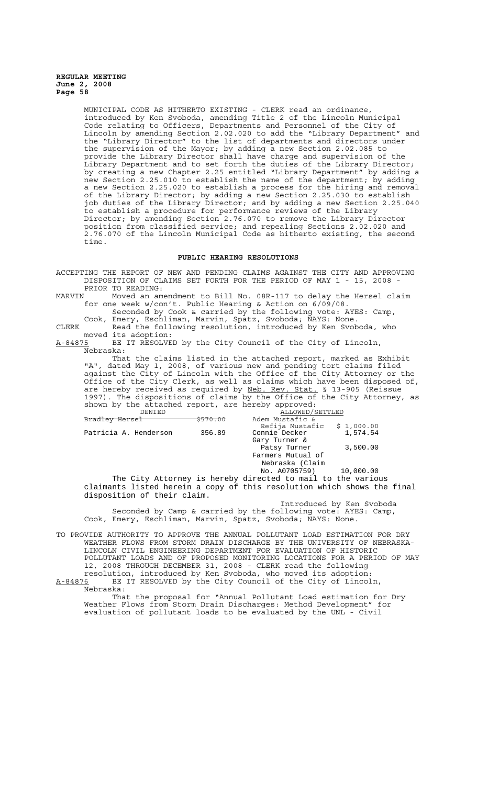MUNICIPAL CODE AS HITHERTO EXISTING - CLERK read an ordinance, introduced by Ken Svoboda, amending Title 2 of the Lincoln Municipal Code relating to Officers, Departments and Personnel of the City of Lincoln by amending Section 2.02.020 to add the "Library Department" and the "Library Director" to the list of departments and directors under the supervision of the Mayor; by adding a new Section 2.02.085 to provide the Library Director shall have charge and supervision of the Library Department and to set forth the duties of the Library Director; by creating a new Chapter 2.25 entitled "Library Department" by adding a new Section 2.25.010 to establish the name of the department; by adding a new Section 2.25.020 to establish a process for the hiring and removal of the Library Director; by adding a new Section 2.25.030 to establish job duties of the Library Director; and by adding a new Section 2.25.040 to establish a procedure for performance reviews of the Library Director; by amending Section 2.76.070 to remove the Library Director position from classified service; and repealing Sections 2.02.020 and 2.76.070 of the Lincoln Municipal Code as hitherto existing, the second time.

#### **PUBLIC HEARING RESOLUTIONS**

ACCEPTING THE REPORT OF NEW AND PENDING CLAIMS AGAINST THE CITY AND APPROVING DISPOSITION OF CLAIMS SET FORTH FOR THE PERIOD OF MAY 1 - 15, 2008 - PRIOR TO READING:<br>MARVIN Moved an am

Moved an amendment to Bill No. 08R-117 to delay the Hersel claim for one week w/con't. Public Hearing & Action on 6/09/08.

Seconded by Cook & carried by the following vote: AYES: Camp, Cook, Emery, Eschliman, Marvin, Spatz, Svoboda; NAYS: None.

CLERK Read the following resolution, introduced by Ken Svoboda, who moved its adoption:<br>A-84875 BE IT RESOLVE

BE IT RESOLVED by the City Council of the City of Lincoln, Nebraska:

That the claims listed in the attached report, marked as Exhibit "A", dated May 1, 2008, of various new and pending tort claims filed against the City of Lincoln with the Office of the City Attorney or the Office of the City Clerk, as well as claims which have been disposed of, are hereby received as required by Neb. Rev. Stat. § 13-905 (Reissue 1997). The dispositions of claims by the Office of the City Attorney, as shown by the attached report, are hereby approved:

| DENIED                      |  |          | ALLOWED/SETTLED                                                         |          |  |
|-----------------------------|--|----------|-------------------------------------------------------------------------|----------|--|
| Bradley Hersel              |  | \$570.00 | Adem Mustafic &                                                         |          |  |
|                             |  |          | Refija Mustafic \$ 1,000.00                                             |          |  |
| Patricia A. Henderson       |  | 356.89   | Connie Decker                                                           | 1,574.54 |  |
|                             |  |          | Gary Turner &                                                           |          |  |
|                             |  |          | Patsy Turner                                                            | 3,500.00 |  |
|                             |  |          | Farmers Mutual of                                                       |          |  |
|                             |  |          | Nebraska (Claim                                                         |          |  |
|                             |  |          | No. A0705759) 10,000.00                                                 |          |  |
|                             |  |          | The City Attorney is hereby directed to mail to the various             |          |  |
|                             |  |          | claimants listed herein a copy of this resolution which shows the final |          |  |
| disposition of their claim. |  |          |                                                                         |          |  |

Introduced by Ken Svoboda Seconded by Camp & carried by the following vote: AYES: Camp, Cook, Emery, Eschliman, Marvin, Spatz, Svoboda; NAYS: None.

TO PROVIDE AUTHORITY TO APPROVE THE ANNUAL POLLUTANT LOAD ESTIMATION FOR DRY WEATHER FLOWS FROM STORM DRAIN DISCHARGE BY THE UNIVERSITY OF NEBRASKA-LINCOLN CIVIL ENGINEERING DEPARTMENT FOR EVALUATION OF HISTORIC POLLUTANT LOADS AND OF PROPOSED MONITORING LOCATIONS FOR A PERIOD OF MAY 12, 2008 THROUGH DECEMBER 31, 2008 - CLERK read the following resolution, introduced by Ken Svoboda, who moved its adoption: A-84876 BE IT RESOLVED by the City Council of the City of Lincoln,

Nebraska:

That the proposal for "Annual Pollutant Load estimation for Dry Weather Flows from Storm Drain Discharges: Method Development" for evaluation of pollutant loads to be evaluated by the UNL - Civil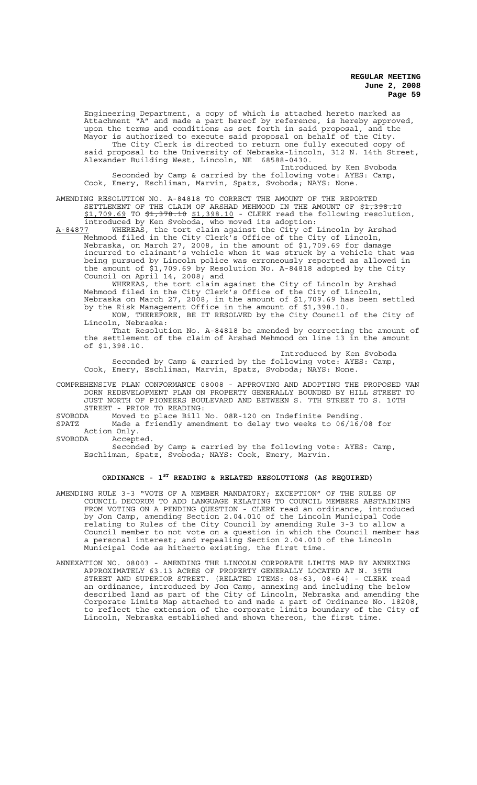Engineering Department, a copy of which is attached hereto marked as Attachment "A" and made a part hereof by reference, is hereby approved, upon the terms and conditions as set forth in said proposal, and the Mayor is authorized to execute said proposal on behalf of the City. The City Clerk is directed to return one fully executed copy of said proposal to the University of Nebraska-Lincoln, 312 N. 14th Street, Alexander Building West, Lincoln, NE 68588-0430. Introduced by Ken Svoboda

Seconded by Camp & carried by the following vote: AYES: Camp, Cook, Emery, Eschliman, Marvin, Spatz, Svoboda; NAYS: None.

AMENDING RESOLUTION NO. A-84818 TO CORRECT THE AMOUNT OF THE REPORTED SETTLEMENT OF THE CLAIM OF ARSHAD MEHMOOD IN THE AMOUNT OF \$1,398.10 \$1,709.69 TO \$1,378.10 \$1,398.10 - CLERK read the following resolution, introduced by Ken Svoboda, who moved its adoption:<br>A-84877 WHEREAS, the tort claim against the City of

WHEREAS, the tort claim against the City of Lincoln by Arshad Mehmood filed in the City Clerk's Office of the City of Lincoln, Nebraska, on March 27, 2008, in the amount of \$1,709.69 for damage incurred to claimant's vehicle when it was struck by a vehicle that was being pursued by Lincoln police was erroneously reported as allowed in the amount of \$1,709.69 by Resolution No. A-84818 adopted by the City Council on April 14, 2008; and

WHEREAS, the tort claim against the City of Lincoln by Arshad Mehmood filed in the City Clerk $\bar{\ }$ s Office of the City of Lincoln, Nebraska on March 27, 2008, in the amount of \$1,709.69 has been settled by the Risk Management Office in the amount of \$1,398.10.

NOW, THEREFORE, BE IT RESOLVED by the City Council of the City of Lincoln, Nebraska:

That Resolution No. A-84818 be amended by correcting the amount of the settlement of the claim of Arshad Mehmood on line 13 in the amount of \$1,398.10.

Introduced by Ken Svoboda Seconded by Camp & carried by the following vote: AYES: Camp, Cook, Emery, Eschliman, Marvin, Spatz, Svoboda; NAYS: None.

COMPREHENSIVE PLAN CONFORMANCE 08008 - APPROVING AND ADOPTING THE PROPOSED VAN DORN REDEVELOPMENT PLAN ON PROPERTY GENERALLY BOUNDED BY HILL STREET TO JUST NORTH OF PIONEERS BOULEVARD AND BETWEEN S. 7TH STREET TO S. 10TH STREET - PRIOR TO READING:<br>SVOBODA Moved to place Bill!

Moved to place Bill No. 08R-120 on Indefinite Pending. SPATZ Made a friendly amendment to delay two weeks to 06/16/08 for Action Only.<br>SVOBODA Accept

Accepted.

Seconded by Camp & carried by the following vote: AYES: Camp, Eschliman, Spatz, Svoboda; NAYS: Cook, Emery, Marvin.

# **ORDINANCE - 1ST READING & RELATED RESOLUTIONS (AS REQUIRED)**

AMENDING RULE 3-3 "VOTE OF A MEMBER MANDATORY; EXCEPTION" OF THE RULES OF COUNCIL DECORUM TO ADD LANGUAGE RELATING TO COUNCIL MEMBERS ABSTAINING FROM VOTING ON A PENDING QUESTION - CLERK read an ordinance, introduced by Jon Camp, amending Section 2.04.010 of the Lincoln Municipal Code relating to Rules of the City Council by amending Rule 3-3 to allow a Council member to not vote on a question in which the Council member has a personal interest; and repealing Section 2.04.010 of the Lincoln Municipal Code as hitherto existing, the first time.

ANNEXATION NO. 08003 - AMENDING THE LINCOLN CORPORATE LIMITS MAP BY ANNEXING APPROXIMATELY 63.13 ACRES OF PROPERTY GENERALLY LOCATED AT N. 35TH STREET AND SUPERIOR STREET. (RELATED ITEMS: 08-63, 08-64) - CLERK read an ordinance, introduced by Jon Camp, annexing and including the below described land as part of the City of Lincoln, Nebraska and amending the Corporate Limits Map attached to and made a part of Ordinance No. 18208, to reflect the extension of the corporate limits boundary of the City of Lincoln, Nebraska established and shown thereon, the first time.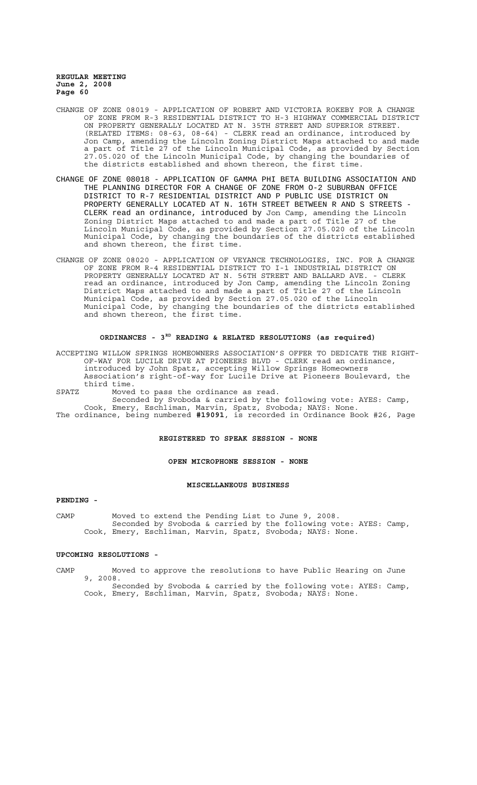- CHANGE OF ZONE 08019 APPLICATION OF ROBERT AND VICTORIA ROKEBY FOR A CHANGE OF ZONE FROM R-3 RESIDENTIAL DISTRICT TO H-3 HIGHWAY COMMERCIAL DISTRICT ON PROPERTY GENERALLY LOCATED AT N. 35TH STREET AND SUPERIOR STREET. (RELATED ITEMS: 08-63, 08-64) - CLERK read an ordinance, introduced by Jon Camp, amending the Lincoln Zoning District Maps attached to and made a part of Title 27 of the Lincoln Municipal Code, as provided by Section 27.05.020 of the Lincoln Municipal Code, by changing the boundaries of the districts established and shown thereon, the first time.
- CHANGE OF ZONE 08018 APPLICATION OF GAMMA PHI BETA BUILDING ASSOCIATION AND THE PLANNING DIRECTOR FOR A CHANGE OF ZONE FROM O-2 SUBURBAN OFFICE DISTRICT TO R-7 RESIDENTIAL DISTRICT AND P PUBLIC USE DISTRICT ON PROPERTY GENERALLY LOCATED AT N. 16TH STREET BETWEEN R AND S STREETS - CLERK read an ordinance, introduced by Jon Camp, amending the Lincoln Zoning District Maps attached to and made a part of Title 27 of the Lincoln Municipal Code, as provided by Section 27.05.020 of the Lincoln Municipal Code, by changing the boundaries of the districts established and shown thereon, the first time.
- CHANGE OF ZONE 08020 APPLICATION OF VEYANCE TECHNOLOGIES, INC. FOR A CHANGE OF ZONE FROM R-4 RESIDENTIAL DISTRICT TO I-1 INDUSTRIAL DISTRICT ON PROPERTY GENERALLY LOCATED AT N. 56TH STREET AND BALLARD AVE. - CLERK read an ordinance, introduced by Jon Camp, amending the Lincoln Zoning District Maps attached to and made a part of Title 27 of the Lincoln Municipal Code, as provided by Section 27.05.020 of the Lincoln Municipal Code, by changing the boundaries of the districts established and shown thereon, the first time.

#### **ORDINANCES - 3RD READING & RELATED RESOLUTIONS (as required)**

ACCEPTING WILLOW SPRINGS HOMEOWNERS ASSOCIATION'S OFFER TO DEDICATE THE RIGHT-OF-WAY FOR LUCILE DRIVE AT PIONEERS BLVD - CLERK read an ordinance, introduced by John Spatz, accepting Willow Springs Homeowners Association's right-of-way for Lucile Drive at Pioneers Boulevard, the third time.

SPATZ Moved to pass the ordinance as read.

Seconded by Svoboda & carried by the following vote: AYES: Camp, Cook, Emery, Eschliman, Marvin, Spatz, Svoboda; NAYS: None.

The ordinance, being numbered **#19091**, is recorded in Ordinance Book #26, Page

#### **REGISTERED TO SPEAK SESSION - NONE**

#### **OPEN MICROPHONE SESSION - NONE**

### **MISCELLANEOUS BUSINESS**

### **PENDING -**

CAMP Moved to extend the Pending List to June 9, 2008. Seconded by Svoboda & carried by the following vote: AYES: Camp, Cook, Emery, Eschliman, Marvin, Spatz, Svoboda; NAYS: None.

#### **UPCOMING RESOLUTIONS -**

CAMP Moved to approve the resolutions to have Public Hearing on June 9, 2008. Seconded by Svoboda & carried by the following vote: AYES: Camp, Cook, Emery, Eschliman, Marvin, Spatz, Svoboda; NAYS: None.